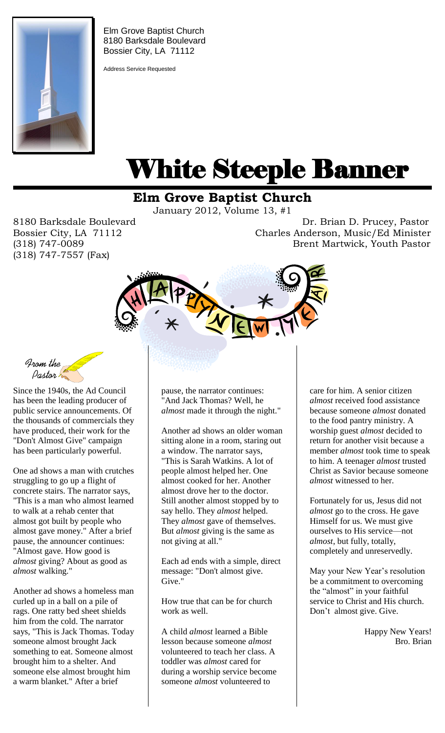

Elm Grove Baptist Church 8180 Barksdale Boulevard Bossier City, LA 71112

Address Service Requested

# White Steeple Banner ı

# **Elm Grove Baptist Church**

January 2012, Volume 13, #1

(318) 747-7557 (Fax)

8180 Barksdale Boulevard **Dr. Brian D. Prucey, Pastor** Bossier City, LA 71112 Charles Anderson, Music/Ed Minister (318) 747-0089 Brent Martwick, Youth Pastor



From the<br>Pastor

Since the 1940s, the Ad Council has been the leading producer of public service announcements. Of the thousands of commercials they have produced, their work for the "Don't Almost Give" campaign has been particularly powerful.

One ad shows a man with crutches struggling to go up a flight of concrete stairs. The narrator says, "This is a man who almost learned to walk at a rehab center that almost got built by people who almost gave money." After a brief pause, the announcer continues: "Almost gave. How good is *almost* giving? About as good as *almost* walking."

Another ad shows a homeless man curled up in a ball on a pile of rags. One ratty bed sheet shields him from the cold. The narrator says, "This is Jack Thomas. Today someone almost brought Jack something to eat. Someone almost brought him to a shelter. And someone else almost brought him a warm blanket." After a brief

pause, the narrator continues: "And Jack Thomas? Well, he *almost* made it through the night."

Another ad shows an older woman sitting alone in a room, staring out a window. The narrator says, "This is Sarah Watkins. A lot of people almost helped her. One almost cooked for her. Another almost drove her to the doctor. Still another almost stopped by to say hello. They *almost* helped. They *almost* gave of themselves. But *almost* giving is the same as not giving at all."

Each ad ends with a simple, direct message: "Don't almost give. Give."

How true that can be for church work as well.

A child *almost* learned a Bible lesson because someone *almost* volunteered to teach her class. A toddler was *almost* cared for during a worship service become someone *almost* volunteered to

care for him. A senior citizen *almost* received food assistance because someone *almost* donated to the food pantry ministry. A worship guest *almost* decided to return for another visit because a member *almost* took time to speak to him. A teenager *almost* trusted Christ as Savior because someone *almost* witnessed to her.

Fortunately for us, Jesus did not *almost* go to the cross. He gave Himself for us. We must give ourselves to His service—not *almost*, but fully, totally, completely and unreservedly.

May your New Year's resolution be a commitment to overcoming the "almost" in your faithful service to Christ and His church. Don't almost give. Give.

> Happy New Years! Bro. Brian